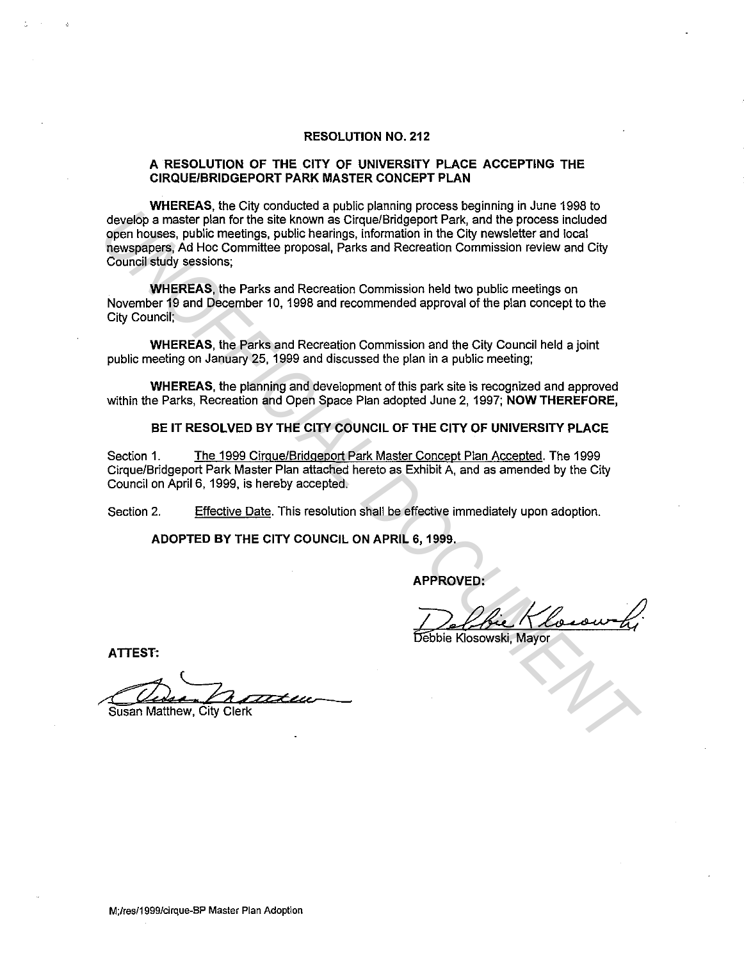## **RESOLUTION NO. 212**

## **A RESOLUTION OF THE CITY OF UNIVERSITY PLACE ACCEPTING THE CIRQUE/BRIDGEPORT PARK MASTER CONCEPT PLAN**

**WHEREAS,** the City conducted a public planning process beginning in June 1998 to develop a master plan for the site known as Cirque/Bridgeport Park, and the process included open houses, public meetings, public hearings, information in the City newsletter and local newspapers, Ad Hoc Committee proposal, Parks and Recreation Commission review and City Council study sessions; develop a measter prior for the side known and Critical Department and the Content of the side known and Critical Department and Critical Department of the Committee proposal, Parks and Recreation Commission neview and Col

**WHEREAS,** the Parks and Recreation Commission held two public meetings on November 19 and December 10, 1998 and recommended approval of the plan concept to the City Council;

**WHEREAS,** the Parks and Recreation Commission and the City Council held a joint public meeting on January 25, 1999 and discussed the plan in a public meeting;

**WHEREAS,** the planning and development of this park site is recognized and approved within the Parks, Recreation and Open Space Plan adopted June 2, 1997; **NOW THEREFORE,** 

**BE IT RESOLVED BY THE CITY COUNCIL OF THE CITY OF UNIVERSITY PLACE** 

Section 1. The 1999 Cirque/Bridgeport Park Master Concept Plan Accepted. The 1999 Cirque/Bridgeport Park Master Plan attached hereto as Exhibit A, and as amended by the City Council on April 6, 1999, is hereby accepted.

Section 2. Effective Date. This resolution shall be effective immediately upon adoption.

**ADOPTED BY THE CITY COUNCIL ON APRIL 6, 1999.** 

**APPROVED:** 

Frances.<br>De Chie Klosowoki

**ATTEST:** 

ATTEST:<br>Susan Matthew, City Clerk